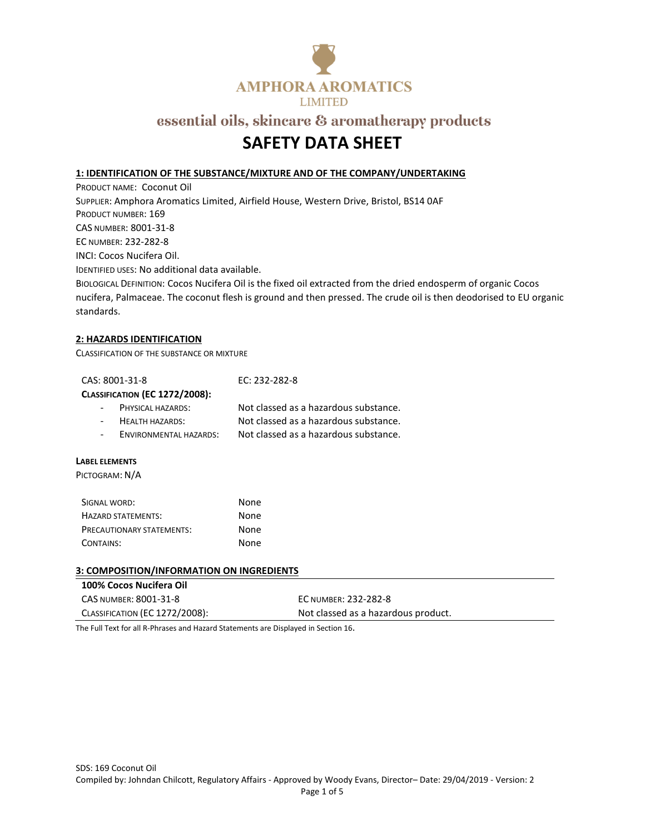

## **SAFETY DATA SHEET**

#### **1: IDENTIFICATION OF THE SUBSTANCE/MIXTURE AND OF THE COMPANY/UNDERTAKING**

PRODUCT NAME: Coconut Oil SUPPLIER: Amphora Aromatics Limited, Airfield House, Western Drive, Bristol, BS14 0AF PRODUCT NUMBER: 169 CAS NUMBER: 8001-31-8 EC NUMBER: 232-282-8 INCI: Cocos Nucifera Oil. IDENTIFIED USES: No additional data available. BIOLOGICAL DEFINITION: Cocos Nucifera Oil is the fixed oil extracted from the dried endosperm of organic Cocos nucifera, Palmaceae. The coconut flesh is ground and then pressed. The crude oil is then deodorised to EU organic

#### **2: HAZARDS IDENTIFICATION**

CLASSIFICATION OF THE SUBSTANCE OR MIXTURE

| CAS: 8001-31-8                        | EC: 232-282-8                         |
|---------------------------------------|---------------------------------------|
| <b>CLASSIFICATION (EC 1272/2008):</b> |                                       |
| - PHYSICAL HAZARDS:                   | Not classed as a hazardous substance. |
| <b>HEALTH HAZARDS:</b>                | Not classed as a hazardous substance. |
| ENVIRONMENTAL HAZARDS:                | Not classed as a hazardous substance. |
|                                       |                                       |

#### **LABEL ELEMENTS**

standards.

PICTOGRAM: N/A

| SIGNAL WORD:                     | None |
|----------------------------------|------|
| <b>HAZARD STATEMENTS:</b>        | None |
| <b>PRECAUTIONARY STATEMENTS:</b> | None |
| CONTAINS:                        | None |

#### **3: COMPOSITION/INFORMATION ON INGREDIENTS**

| 100% Cocos Nucifera Oil        |                                     |
|--------------------------------|-------------------------------------|
| CAS NUMBER: 8001-31-8          | EC NUMBER: 232-282-8                |
| CLASSIFICATION (EC 1272/2008): | Not classed as a hazardous product. |

The Full Text for all R-Phrases and Hazard Statements are Displayed in Section 16.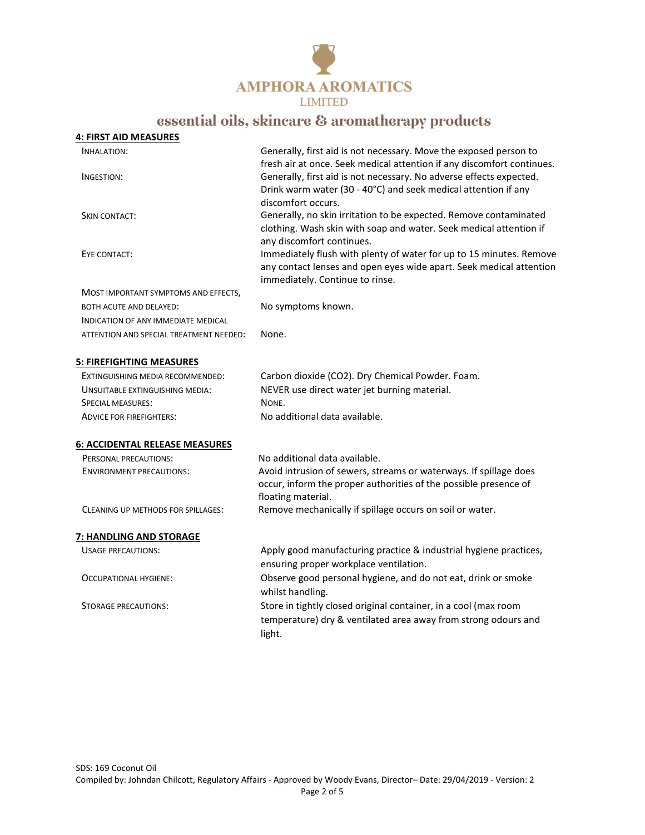

| <b>4: FIRST AID MEASURES</b>            |                                                                                                                                                                               |
|-----------------------------------------|-------------------------------------------------------------------------------------------------------------------------------------------------------------------------------|
| INHALATION:                             | Generally, first aid is not necessary. Move the exposed person to<br>fresh air at once. Seek medical attention if any discomfort continues.                                   |
| INGESTION:                              | Generally, first aid is not necessary. No adverse effects expected.<br>Drink warm water (30 - 40°C) and seek medical attention if any<br>discomfort occurs.                   |
| <b>SKIN CONTACT:</b>                    | Generally, no skin irritation to be expected. Remove contaminated<br>clothing. Wash skin with soap and water. Seek medical attention if<br>any discomfort continues.          |
| EYE CONTACT:                            | Immediately flush with plenty of water for up to 15 minutes. Remove<br>any contact lenses and open eyes wide apart. Seek medical attention<br>immediately. Continue to rinse. |
| MOST IMPORTANT SYMPTOMS AND EFFECTS,    |                                                                                                                                                                               |
| BOTH ACUTE AND DELAYED:                 | No symptoms known.                                                                                                                                                            |
| INDICATION OF ANY IMMEDIATE MEDICAL     |                                                                                                                                                                               |
| ATTENTION AND SPECIAL TREATMENT NEEDED: | None.                                                                                                                                                                         |
| <b>5: FIREFIGHTING MEASURES</b>         |                                                                                                                                                                               |
| EXTINGUISHING MEDIA RECOMMENDED:        | Carbon dioxide (CO2). Dry Chemical Powder. Foam.                                                                                                                              |
| UNSUITABLE EXTINGUISHING MEDIA:         | NEVER use direct water jet burning material.                                                                                                                                  |
| SPECIAL MEASURES:                       | NONE.                                                                                                                                                                         |
| <b>ADVICE FOR FIREFIGHTERS:</b>         | No additional data available.                                                                                                                                                 |
| <b>6: ACCIDENTAL RELEASE MEASURES</b>   |                                                                                                                                                                               |
| PERSONAL PRECAUTIONS:                   | No additional data available.                                                                                                                                                 |
| <b>ENVIRONMENT PRECAUTIONS:</b>         | Avoid intrusion of sewers, streams or waterways. If spillage does<br>occur, inform the proper authorities of the possible presence of<br>floating material.                   |
| CLEANING UP METHODS FOR SPILLAGES:      | Remove mechanically if spillage occurs on soil or water.                                                                                                                      |
| 7: HANDLING AND STORAGE                 |                                                                                                                                                                               |
| <b>USAGE PRECAUTIONS:</b>               | Apply good manufacturing practice & industrial hygiene practices,<br>ensuring proper workplace ventilation.                                                                   |
| OCCUPATIONAL HYGIENE:                   | Observe good personal hygiene, and do not eat, drink or smoke<br>whilst handling.                                                                                             |
| <b>STORAGE PRECAUTIONS:</b>             | Store in tightly closed original container, in a cool (max room<br>temperature) dry & ventilated area away from strong odours and<br>light.                                   |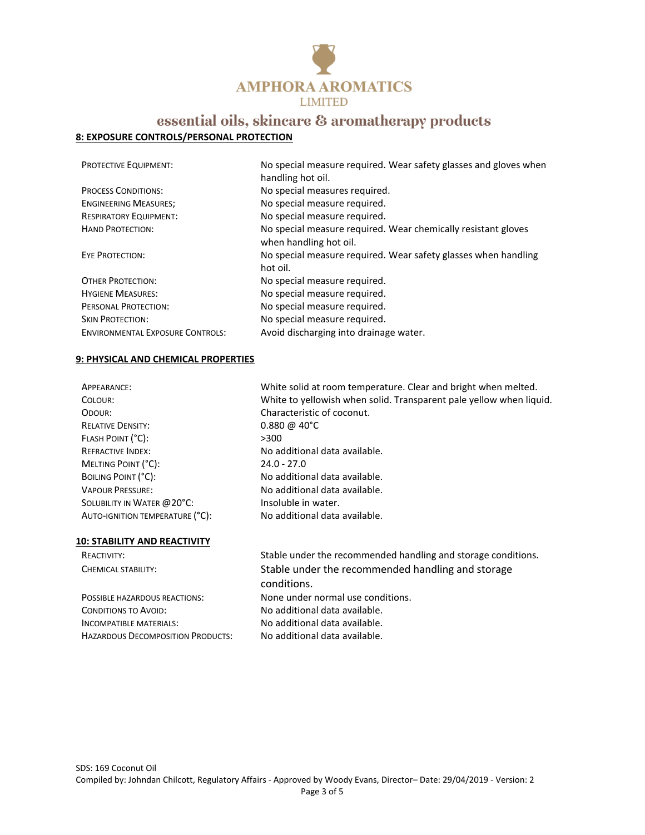

### **8: EXPOSURE CONTROLS/PERSONAL PROTECTION**

| <b>PROTECTIVE EQUIPMENT:</b>            | No special measure required. Wear safety glasses and gloves when<br>handling hot oil.   |
|-----------------------------------------|-----------------------------------------------------------------------------------------|
| <b>PROCESS CONDITIONS:</b>              | No special measures required.                                                           |
| <b>ENGINEERING MEASURES;</b>            | No special measure required.                                                            |
| <b>RESPIRATORY EQUIPMENT:</b>           | No special measure required.                                                            |
| <b>HAND PROTECTION:</b>                 | No special measure required. Wear chemically resistant gloves<br>when handling hot oil. |
| <b>EYE PROTECTION:</b>                  | No special measure required. Wear safety glasses when handling<br>hot oil.              |
| <b>OTHER PROTECTION:</b>                | No special measure required.                                                            |
| <b>HYGIENE MEASURES:</b>                | No special measure required.                                                            |
| PERSONAL PROTECTION:                    | No special measure required.                                                            |
| <b>SKIN PROTECTION:</b>                 | No special measure required.                                                            |
| <b>ENVIRONMENTAL EXPOSURE CONTROLS:</b> | Avoid discharging into drainage water.                                                  |

#### **9: PHYSICAL AND CHEMICAL PROPERTIES**

| APPEARANCE:                         | White solid at room temperature. Clear and bright when melted.                                          |
|-------------------------------------|---------------------------------------------------------------------------------------------------------|
| COLOUR:                             | White to yellowish when solid. Transparent pale yellow when liquid.                                     |
| ODOUR:                              | Characteristic of coconut.                                                                              |
| <b>RELATIVE DENSITY:</b>            | $0.880 \; \text{\textdegree}$ 40°C                                                                      |
| FLASH POINT (°C):                   | >300                                                                                                    |
| <b>REFRACTIVE INDEX:</b>            | No additional data available.                                                                           |
| MELTING POINT (°C):                 | $24.0 - 27.0$                                                                                           |
| BOILING POINT (°C):                 | No additional data available.                                                                           |
| <b>VAPOUR PRESSURE:</b>             | No additional data available.                                                                           |
| SOLUBILITY IN WATER @ 20°C:         | Insoluble in water.                                                                                     |
| AUTO-IGNITION TEMPERATURE (°C):     | No additional data available.                                                                           |
|                                     |                                                                                                         |
| <b>10: STABILITY AND REACTIVITY</b> |                                                                                                         |
|                                     | والمتحالفات والمستقطع والمستحيث والمنافذ والمتالي والمستند ومستنقص والمستقط والمستندا والمارية والمارية |

CONDITIONS TO AVOID: No additional data available. INCOMPATIBLE MATERIALS: No additional data available. HAZARDOUS DECOMPOSITION PRODUCTS: No additional data available.

REACTIVITY: Stable under the recommended handling and storage conditions. CHEMICAL STABILITY: Stable under the recommended handling and storage conditions. POSSIBLE HAZARDOUS REACTIONS: None under normal use conditions.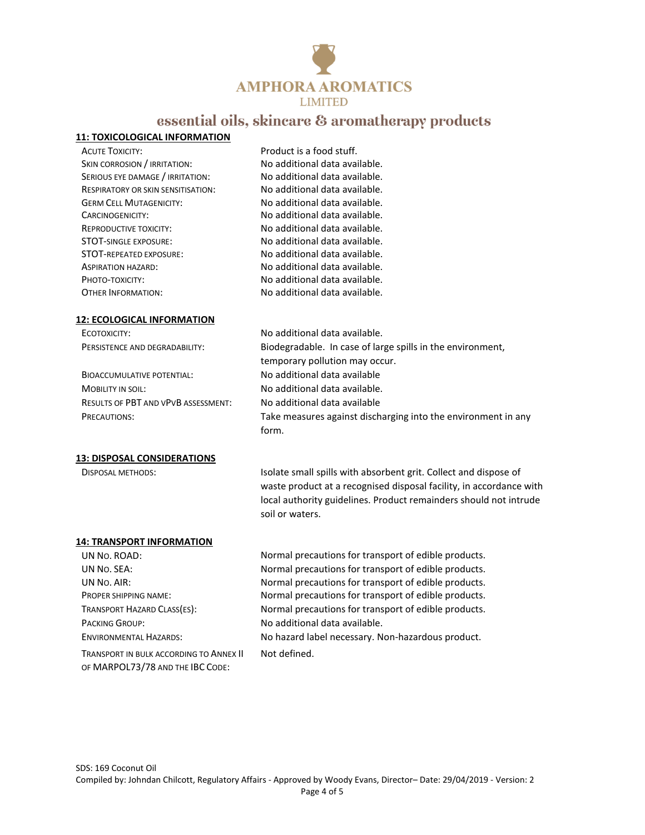

#### **11: TOXICOLOGICAL INFORMATION**

ACUTE TOXICITY: Product is a food stuff. SKIN CORROSION / IRRITATION: No additional data available. SERIOUS EYE DAMAGE / IRRITATION: No additional data available. RESPIRATORY OR SKIN SENSITISATION: No additional data available. GERM CELL MUTAGENICITY: No additional data available. CARCINOGENICITY: No additional data available. REPRODUCTIVE TOXICITY: No additional data available. STOT-SINGLE EXPOSURE: No additional data available. STOT-REPEATED EXPOSURE: No additional data available. ASPIRATION HAZARD: No additional data available. PHOTO-TOXICITY: No additional data available. OTHER INFORMATION: No additional data available.

#### **12: ECOLOGICAL INFORMATION**

ECOTOXICITY: No additional data available.

BIOACCUMULATIVE POTENTIAL: No additional data available MOBILITY IN SOIL: No additional data available. RESULTS OF PBT AND VPVB ASSESSMENT: No additional data available

#### **13: DISPOSAL CONSIDERATIONS**

PERSISTENCE AND DEGRADABILITY: Biodegradable. In case of large spills in the environment, temporary pollution may occur. PRECAUTIONS: Take measures against discharging into the environment in any form.

DISPOSAL METHODS: Isolate small spills with absorbent grit. Collect and dispose of waste product at a recognised disposal facility, in accordance with local authority guidelines. Product remainders should not intrude soil or waters.

#### **14: TRANSPORT INFORMATION**

PACKING GROUP: No additional data available.

TRANSPORT IN BULK ACCORDING TO ANNEX II OF MARPOL73/78 AND THE IBC CODE:

UN No. ROAD: Normal precautions for transport of edible products. UN NO. SEA: Normal precautions for transport of edible products. UN No. AIR: Normal precautions for transport of edible products. PROPER SHIPPING NAME: Normal precautions for transport of edible products. TRANSPORT HAZARD CLASS(ES): Normal precautions for transport of edible products. ENVIRONMENTAL HAZARDS: No hazard label necessary. Non-hazardous product.

#### Not defined.